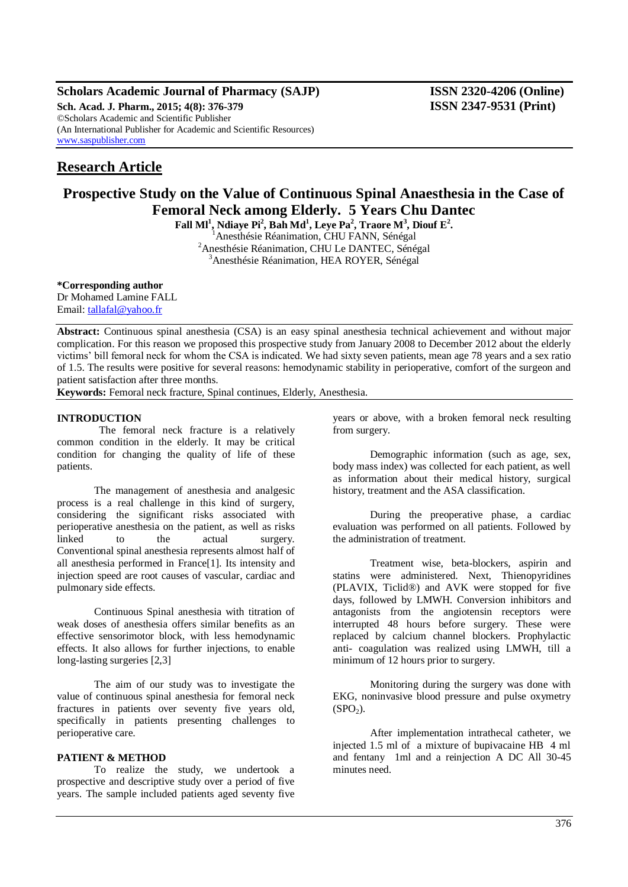## **Scholars Academic Journal of Pharmacy (SAJP) ISSN 2320-4206 (Online) Sch. Acad. J. Pharm., 2015; 4(8): 376-379 ISSN 2347-9531 (Print)** ©Scholars Academic and Scientific Publisher (An International Publisher for Academic and Scientific Resources) [www.saspublisher.com](http://www.saspublisher.com/)

# **Research Article**

# **Prospective Study on the Value of Continuous Spinal Anaesthesia in the Case of Femoral Neck among Elderly. 5 Years Chu Dantec**

**Fall Ml<sup>1</sup> , Ndiaye Pi<sup>2</sup> , Bah Md<sup>1</sup> , Leye Pa<sup>2</sup> , Traore M<sup>3</sup> , Diouf E<sup>2</sup> .**

<sup>1</sup> Anesthésie Réanimation, CHU FANN, Sénégal <sup>2</sup> Anesthésie Réanimation, CHU Le DANTEC, Sénégal <sup>3</sup>Anesthésie Réanimation, HEA ROYER, Sénégal

**\*Corresponding author** Dr Mohamed Lamine FALL Email: [tallafal@yahoo.fr](mailto:tallafal@yahoo.fr)

**Abstract:** Continuous spinal anesthesia (CSA) is an easy spinal anesthesia technical achievement and without major complication. For this reason we proposed this prospective study from January 2008 to December 2012 about the elderly victims' bill femoral neck for whom the CSA is indicated. We had sixty seven patients, mean age 78 years and a sex ratio of 1.5. The results were positive for several reasons: hemodynamic stability in perioperative, comfort of the surgeon and patient satisfaction after three months.

**Keywords:** Femoral neck fracture, Spinal continues, Elderly, Anesthesia.

# **INTRODUCTION**

 The femoral neck fracture is a relatively common condition in the elderly. It may be critical condition for changing the quality of life of these patients.

The management of anesthesia and analgesic process is a real challenge in this kind of surgery, considering the significant risks associated with perioperative anesthesia on the patient, as well as risks linked to the actual surgery. Conventional spinal anesthesia represents almost half of all anesthesia performed in France[1]. Its intensity and injection speed are root causes of vascular, cardiac and pulmonary side effects.

Continuous Spinal anesthesia with titration of weak doses of anesthesia offers similar benefits as an effective sensorimotor block, with less hemodynamic effects. It also allows for further injections, to enable long-lasting surgeries [2,3]

The aim of our study was to investigate the value of continuous spinal anesthesia for femoral neck fractures in patients over seventy five years old, specifically in patients presenting challenges to perioperative care.

# **PATIENT & METHOD**

To realize the study, we undertook a prospective and descriptive study over a period of five years. The sample included patients aged seventy five years or above, with a broken femoral neck resulting from surgery.

Demographic information (such as age, sex, body mass index) was collected for each patient, as well as information about their medical history, surgical history, treatment and the ASA classification.

During the preoperative phase, a cardiac evaluation was performed on all patients. Followed by the administration of treatment.

Treatment wise, beta-blockers, aspirin and statins were administered. Next, Thienopyridines (PLAVIX, Ticlid®) and AVK were stopped for five days, followed by LMWH. Conversion inhibitors and antagonists from the angiotensin receptors were interrupted 48 hours before surgery. These were replaced by calcium channel blockers. Prophylactic anti- coagulation was realized using LMWH, till a minimum of 12 hours prior to surgery.

Monitoring during the surgery was done with EKG, noninvasive blood pressure and pulse oxymetry  $(SPO<sub>2</sub>)$ .

After implementation intrathecal catheter, we injected 1.5 ml of a mixture of bupivacaine HB 4 ml and fentany 1ml and a reinjection A DC All 30-45 minutes need.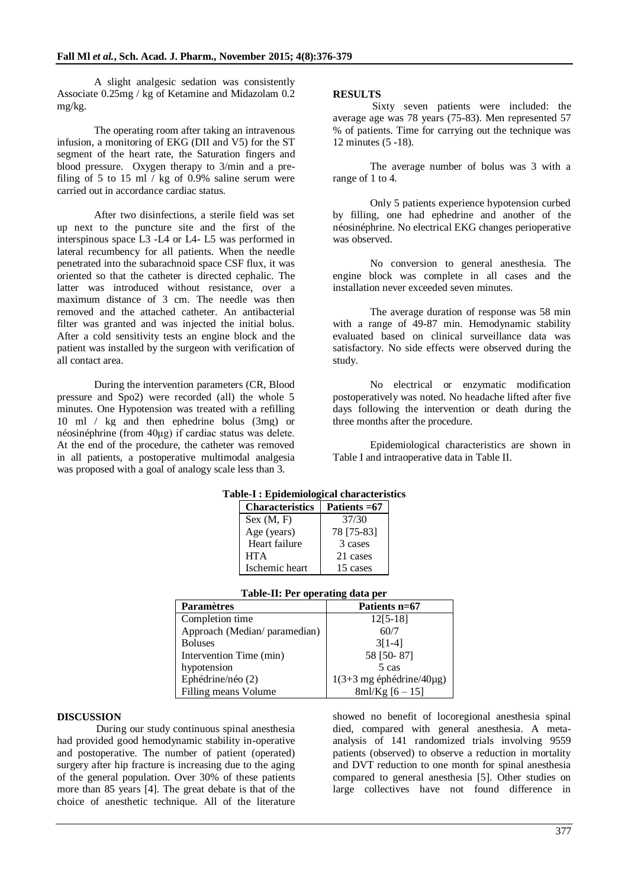A slight analgesic sedation was consistently Associate 0.25mg / kg of Ketamine and Midazolam 0.2 mg/kg.

The operating room after taking an intravenous infusion, a monitoring of EKG (DII and V5) for the ST segment of the heart rate, the Saturation fingers and blood pressure. Oxygen therapy to 3/min and a prefiling of 5 to 15 ml  $/$  kg of 0.9% saline serum were carried out in accordance cardiac status.

After two disinfections, a sterile field was set up next to the puncture site and the first of the interspinous space L3 -L4 or L4- L5 was performed in lateral recumbency for all patients. When the needle penetrated into the subarachnoid space CSF flux, it was oriented so that the catheter is directed cephalic. The latter was introduced without resistance, over a maximum distance of 3 cm. The needle was then removed and the attached catheter. An antibacterial filter was granted and was injected the initial bolus. After a cold sensitivity tests an engine block and the patient was installed by the surgeon with verification of all contact area.

During the intervention parameters (CR, Blood pressure and Spo2) were recorded (all) the whole 5 minutes. One Hypotension was treated with a refilling 10 ml / kg and then ephedrine bolus (3mg) or néosinéphrine (from 40μg) if cardiac status was delete. At the end of the procedure, the catheter was removed in all patients, a postoperative multimodal analgesia was proposed with a goal of analogy scale less than 3.

# **RESULTS**

 Sixty seven patients were included: the average age was 78 years (75-83). Men represented 57 % of patients. Time for carrying out the technique was 12 minutes (5 -18).

The average number of bolus was 3 with a range of 1 to 4.

Only 5 patients experience hypotension curbed by filling, one had ephedrine and another of the néosinéphrine. No electrical EKG changes perioperative was observed.

No conversion to general anesthesia. The engine block was complete in all cases and the installation never exceeded seven minutes.

The average duration of response was 58 min with a range of 49-87 min. Hemodynamic stability evaluated based on clinical surveillance data was satisfactory. No side effects were observed during the study.

No electrical or enzymatic modification postoperatively was noted. No headache lifted after five days following the intervention or death during the three months after the procedure.

Epidemiological characteristics are shown in Table I and intraoperative data in Table II.

| <b>DIE-1 : Epigemiological characteris</b> |               |  |
|--------------------------------------------|---------------|--|
| <b>Characteristics</b>                     | Patients = 67 |  |
| Sex (M, F)                                 | 37/30         |  |
| Age (years)                                | 78 [75-83]    |  |
| Heart failure                              | 3 cases       |  |
| <b>HTA</b>                                 | 21 cases      |  |
| Ischemic heart                             | 15 cases      |  |

# **Table-I : Epidemiological characteristics**

| Table-II: Per operating data per |  |  |  |
|----------------------------------|--|--|--|
|----------------------------------|--|--|--|

| <b>Paramètres</b>            | Patients n=67                                        |
|------------------------------|------------------------------------------------------|
| Completion time              | $12[5-18]$                                           |
| Approach (Median/paramedian) | 60/7                                                 |
| <b>Boluses</b>               | $3[1-4]$                                             |
| Intervention Time (min)      | 58 [50-87]                                           |
| hypotension                  | 5 cas                                                |
| Ephédrine/néo (2)            | $1(3+3 \text{ mg} \text{ éphédrine}/40 \mu\text{g})$ |
| Filling means Volume         | $8ml/Kg [6 - 15]$                                    |

### **DISCUSSION**

 During our study continuous spinal anesthesia had provided good hemodynamic stability in-operative and postoperative. The number of patient (operated) surgery after hip fracture is increasing due to the aging of the general population. Over 30% of these patients more than 85 years [4]. The great debate is that of the choice of anesthetic technique. All of the literature showed no benefit of locoregional anesthesia spinal died, compared with general anesthesia. A metaanalysis of 141 randomized trials involving 9559 patients (observed) to observe a reduction in mortality and DVT reduction to one month for spinal anesthesia compared to general anesthesia [5]. Other studies on large collectives have not found difference in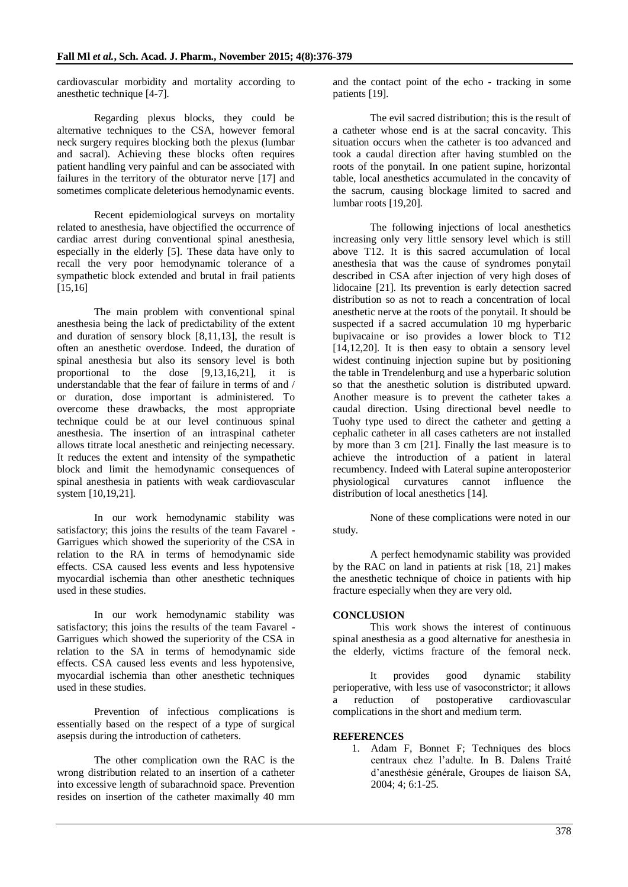cardiovascular morbidity and mortality according to anesthetic technique [4-7].

Regarding plexus blocks, they could be alternative techniques to the CSA, however femoral neck surgery requires blocking both the plexus (lumbar and sacral). Achieving these blocks often requires patient handling very painful and can be associated with failures in the territory of the obturator nerve [17] and sometimes complicate deleterious hemodynamic events.

Recent epidemiological surveys on mortality related to anesthesia, have objectified the occurrence of cardiac arrest during conventional spinal anesthesia, especially in the elderly [5]. These data have only to recall the very poor hemodynamic tolerance of a sympathetic block extended and brutal in frail patients [15,16]

The main problem with conventional spinal anesthesia being the lack of predictability of the extent and duration of sensory block [8,11,13], the result is often an anesthetic overdose. Indeed, the duration of spinal anesthesia but also its sensory level is both proportional to the dose [9,13,16,21], it is understandable that the fear of failure in terms of and / or duration, dose important is administered. To overcome these drawbacks, the most appropriate technique could be at our level continuous spinal anesthesia. The insertion of an intraspinal catheter allows titrate local anesthetic and reinjecting necessary. It reduces the extent and intensity of the sympathetic block and limit the hemodynamic consequences of spinal anesthesia in patients with weak cardiovascular system [10,19,21].

In our work hemodynamic stability was satisfactory; this joins the results of the team Favarel - Garrigues which showed the superiority of the CSA in relation to the RA in terms of hemodynamic side effects. CSA caused less events and less hypotensive myocardial ischemia than other anesthetic techniques used in these studies.

In our work hemodynamic stability was satisfactory; this joins the results of the team Favarel - Garrigues which showed the superiority of the CSA in relation to the SA in terms of hemodynamic side effects. CSA caused less events and less hypotensive, myocardial ischemia than other anesthetic techniques used in these studies.

Prevention of infectious complications is essentially based on the respect of a type of surgical asepsis during the introduction of catheters.

The other complication own the RAC is the wrong distribution related to an insertion of a catheter into excessive length of subarachnoid space. Prevention resides on insertion of the catheter maximally 40 mm

and the contact point of the echo - tracking in some patients [19].

The evil sacred distribution; this is the result of a catheter whose end is at the sacral concavity. This situation occurs when the catheter is too advanced and took a caudal direction after having stumbled on the roots of the ponytail. In one patient supine, horizontal table, local anesthetics accumulated in the concavity of the sacrum, causing blockage limited to sacred and lumbar roots [19,20].

The following injections of local anesthetics increasing only very little sensory level which is still above T12. It is this sacred accumulation of local anesthesia that was the cause of syndromes ponytail described in CSA after injection of very high doses of lidocaine [21]. Its prevention is early detection sacred distribution so as not to reach a concentration of local anesthetic nerve at the roots of the ponytail. It should be suspected if a sacred accumulation 10 mg hyperbaric bupivacaine or iso provides a lower block to T12  $[14,12,20]$ . It is then easy to obtain a sensory level widest continuing injection supine but by positioning the table in Trendelenburg and use a hyperbaric solution so that the anesthetic solution is distributed upward. Another measure is to prevent the catheter takes a caudal direction. Using directional bevel needle to Tuohy type used to direct the catheter and getting a cephalic catheter in all cases catheters are not installed by more than 3 cm [21]. Finally the last measure is to achieve the introduction of a patient in lateral recumbency. Indeed with Lateral supine anteroposterior physiological curvatures cannot influence the distribution of local anesthetics [14].

None of these complications were noted in our study.

A perfect hemodynamic stability was provided by the RAC on land in patients at risk [18, 21] makes the anesthetic technique of choice in patients with hip fracture especially when they are very old.

# **CONCLUSION**

This work shows the interest of continuous spinal anesthesia as a good alternative for anesthesia in the elderly, victims fracture of the femoral neck.

It provides good dynamic stability perioperative, with less use of vasoconstrictor; it allows a reduction of postoperative cardiovascular complications in the short and medium term.

# **REFERENCES**

1. Adam F, Bonnet F; Techniques des blocs centraux chez l'adulte. In B. Dalens Traité d'anesthésie générale, Groupes de liaison SA, 2004; 4; 6:1-25.